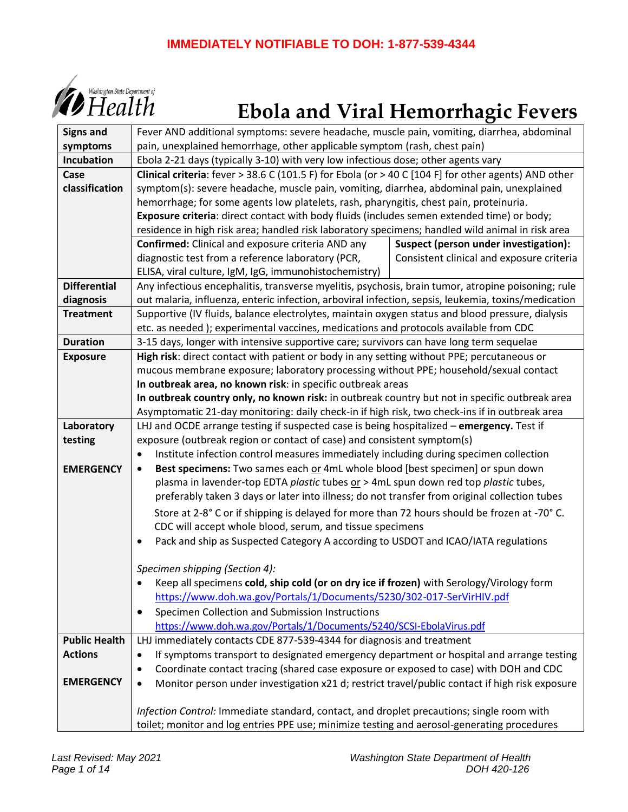# **IMMEDIATELY NOTIFIABLE TO DOH: 1-877-539-4344**



# $\big\{\overline{\text{H}\text{callth}}\xspace^{\text{Washing to an State Department of}}$

| <b>Signs and</b>     | Fever AND additional symptoms: severe headache, muscle pain, vomiting, diarrhea, abdominal           |                                           |  |  |  |  |  |  |  |  |  |  |
|----------------------|------------------------------------------------------------------------------------------------------|-------------------------------------------|--|--|--|--|--|--|--|--|--|--|
| symptoms             | pain, unexplained hemorrhage, other applicable symptom (rash, chest pain)                            |                                           |  |  |  |  |  |  |  |  |  |  |
| Incubation           | Ebola 2-21 days (typically 3-10) with very low infectious dose; other agents vary                    |                                           |  |  |  |  |  |  |  |  |  |  |
| Case                 | Clinical criteria: fever > 38.6 C (101.5 F) for Ebola (or > 40 C [104 F] for other agents) AND other |                                           |  |  |  |  |  |  |  |  |  |  |
| classification       | symptom(s): severe headache, muscle pain, vomiting, diarrhea, abdominal pain, unexplained            |                                           |  |  |  |  |  |  |  |  |  |  |
|                      | hemorrhage; for some agents low platelets, rash, pharyngitis, chest pain, proteinuria.               |                                           |  |  |  |  |  |  |  |  |  |  |
|                      | Exposure criteria: direct contact with body fluids (includes semen extended time) or body;           |                                           |  |  |  |  |  |  |  |  |  |  |
|                      | residence in high risk area; handled risk laboratory specimens; handled wild animal in risk area     |                                           |  |  |  |  |  |  |  |  |  |  |
|                      | Confirmed: Clinical and exposure criteria AND any                                                    | Suspect (person under investigation):     |  |  |  |  |  |  |  |  |  |  |
|                      | diagnostic test from a reference laboratory (PCR,                                                    | Consistent clinical and exposure criteria |  |  |  |  |  |  |  |  |  |  |
|                      | ELISA, viral culture, IgM, IgG, immunohistochemistry)                                                |                                           |  |  |  |  |  |  |  |  |  |  |
| <b>Differential</b>  | Any infectious encephalitis, transverse myelitis, psychosis, brain tumor, atropine poisoning; rule   |                                           |  |  |  |  |  |  |  |  |  |  |
| diagnosis            | out malaria, influenza, enteric infection, arboviral infection, sepsis, leukemia, toxins/medication  |                                           |  |  |  |  |  |  |  |  |  |  |
| <b>Treatment</b>     | Supportive (IV fluids, balance electrolytes, maintain oxygen status and blood pressure, dialysis     |                                           |  |  |  |  |  |  |  |  |  |  |
|                      | etc. as needed); experimental vaccines, medications and protocols available from CDC                 |                                           |  |  |  |  |  |  |  |  |  |  |
| <b>Duration</b>      | 3-15 days, longer with intensive supportive care; survivors can have long term sequelae              |                                           |  |  |  |  |  |  |  |  |  |  |
| <b>Exposure</b>      | High risk: direct contact with patient or body in any setting without PPE; percutaneous or           |                                           |  |  |  |  |  |  |  |  |  |  |
|                      | mucous membrane exposure; laboratory processing without PPE; household/sexual contact                |                                           |  |  |  |  |  |  |  |  |  |  |
|                      | In outbreak area, no known risk: in specific outbreak areas                                          |                                           |  |  |  |  |  |  |  |  |  |  |
|                      | In outbreak country only, no known risk: in outbreak country but not in specific outbreak area       |                                           |  |  |  |  |  |  |  |  |  |  |
|                      | Asymptomatic 21-day monitoring: daily check-in if high risk, two check-ins if in outbreak area       |                                           |  |  |  |  |  |  |  |  |  |  |
| Laboratory           | LHJ and OCDE arrange testing if suspected case is being hospitalized - emergency. Test if            |                                           |  |  |  |  |  |  |  |  |  |  |
| testing              | exposure (outbreak region or contact of case) and consistent symptom(s)                              |                                           |  |  |  |  |  |  |  |  |  |  |
|                      | Institute infection control measures immediately including during specimen collection                |                                           |  |  |  |  |  |  |  |  |  |  |
| <b>EMERGENCY</b>     | Best specimens: Two sames each or 4mL whole blood [best specimen] or spun down<br>$\bullet$          |                                           |  |  |  |  |  |  |  |  |  |  |
|                      | plasma in lavender-top EDTA plastic tubes or > 4mL spun down red top plastic tubes,                  |                                           |  |  |  |  |  |  |  |  |  |  |
|                      | preferably taken 3 days or later into illness; do not transfer from original collection tubes        |                                           |  |  |  |  |  |  |  |  |  |  |
|                      | Store at 2-8° C or if shipping is delayed for more than 72 hours should be frozen at -70° C.         |                                           |  |  |  |  |  |  |  |  |  |  |
|                      | CDC will accept whole blood, serum, and tissue specimens                                             |                                           |  |  |  |  |  |  |  |  |  |  |
|                      | Pack and ship as Suspected Category A according to USDOT and ICAO/IATA regulations<br>$\bullet$      |                                           |  |  |  |  |  |  |  |  |  |  |
|                      |                                                                                                      |                                           |  |  |  |  |  |  |  |  |  |  |
|                      | Specimen shipping (Section 4):                                                                       |                                           |  |  |  |  |  |  |  |  |  |  |
|                      | Keep all specimens cold, ship cold (or on dry ice if frozen) with Serology/Virology form             |                                           |  |  |  |  |  |  |  |  |  |  |
|                      | https://www.doh.wa.gov/Portals/1/Documents/5230/302-017-SerVirHIV.pdf                                |                                           |  |  |  |  |  |  |  |  |  |  |
|                      | Specimen Collection and Submission Instructions<br>٠                                                 |                                           |  |  |  |  |  |  |  |  |  |  |
|                      | https://www.doh.wa.gov/Portals/1/Documents/5240/SCSI-EbolaVirus.pdf                                  |                                           |  |  |  |  |  |  |  |  |  |  |
| <b>Public Health</b> | LHJ immediately contacts CDE 877-539-4344 for diagnosis and treatment                                |                                           |  |  |  |  |  |  |  |  |  |  |
| <b>Actions</b>       | If symptoms transport to designated emergency department or hospital and arrange testing<br>٠        |                                           |  |  |  |  |  |  |  |  |  |  |
|                      | Coordinate contact tracing (shared case exposure or exposed to case) with DOH and CDC<br>$\bullet$   |                                           |  |  |  |  |  |  |  |  |  |  |
| <b>EMERGENCY</b>     | Monitor person under investigation x21 d; restrict travel/public contact if high risk exposure       |                                           |  |  |  |  |  |  |  |  |  |  |
|                      |                                                                                                      |                                           |  |  |  |  |  |  |  |  |  |  |
|                      | Infection Control: Immediate standard, contact, and droplet precautions; single room with            |                                           |  |  |  |  |  |  |  |  |  |  |
|                      | toilet; monitor and log entries PPE use; minimize testing and aerosol-generating procedures          |                                           |  |  |  |  |  |  |  |  |  |  |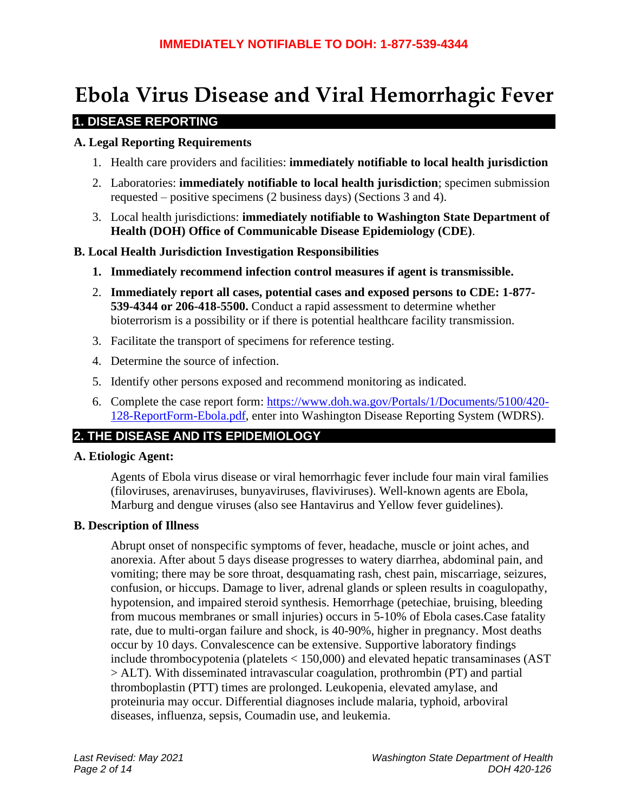# **Ebola Virus Disease and Viral Hemorrhagic Fever**

# **1. DISEASE REPORTING**

#### **A. Legal Reporting Requirements**

- 1. Health care providers and facilities: **immediately notifiable to local health jurisdiction**
- 2. Laboratories: **immediately notifiable to local health jurisdiction**; specimen submission requested – positive specimens (2 business days) (Sections 3 and 4).
- 3. Local health jurisdictions: **immediately notifiable to Washington State Department of Health (DOH) Office of Communicable Disease Epidemiology (CDE)**.

#### **B. Local Health Jurisdiction Investigation Responsibilities**

- **1. Immediately recommend infection control measures if agent is transmissible.**
- 2. **Immediately report all cases, potential cases and exposed persons to CDE: 1-877- 539-4344 or 206-418-5500.** Conduct a rapid assessment to determine whether bioterrorism is a possibility or if there is potential healthcare facility transmission.
- 3. Facilitate the transport of specimens for reference testing.
- 4. Determine the source of infection.
- 5. Identify other persons exposed and recommend monitoring as indicated.
- 6. Complete the case report form: [https://www.doh.wa.gov/Portals/1/Documents/5100/420-](https://www.doh.wa.gov/Portals/1/Documents/5100/420-128-ReportForm-Ebola.pdf) [128-ReportForm-Ebola.pdf,](https://www.doh.wa.gov/Portals/1/Documents/5100/420-128-ReportForm-Ebola.pdf) enter into Washington Disease Reporting System (WDRS).

# **2. THE DISEASE AND ITS EPIDEMIOLOGY**

#### **A. Etiologic Agent:**

Agents of Ebola virus disease or viral hemorrhagic fever include four main viral families (filoviruses, arenaviruses, bunyaviruses, flaviviruses). Well-known agents are Ebola, Marburg and dengue viruses (also see Hantavirus and Yellow fever guidelines).

#### **B. Description of Illness**

Abrupt onset of nonspecific symptoms of fever, headache, muscle or joint aches, and anorexia. After about 5 days disease progresses to watery diarrhea, abdominal pain, and vomiting; there may be sore throat, desquamating rash, chest pain, miscarriage, seizures, confusion, or hiccups. Damage to liver, adrenal glands or spleen results in coagulopathy, hypotension, and impaired steroid synthesis. Hemorrhage (petechiae, bruising, bleeding from mucous membranes or small injuries) occurs in 5-10% of Ebola cases.Case fatality rate, due to multi-organ failure and shock, is 40-90%, higher in pregnancy. Most deaths occur by 10 days. Convalescence can be extensive. Supportive laboratory findings include thrombocypotenia (platelets < 150,000) and elevated hepatic transaminases (AST > ALT). With disseminated intravascular coagulation, prothrombin (PT) and partial thromboplastin (PTT) times are prolonged. Leukopenia, elevated amylase, and proteinuria may occur. Differential diagnoses include malaria, typhoid, arboviral diseases, influenza, sepsis, Coumadin use, and leukemia.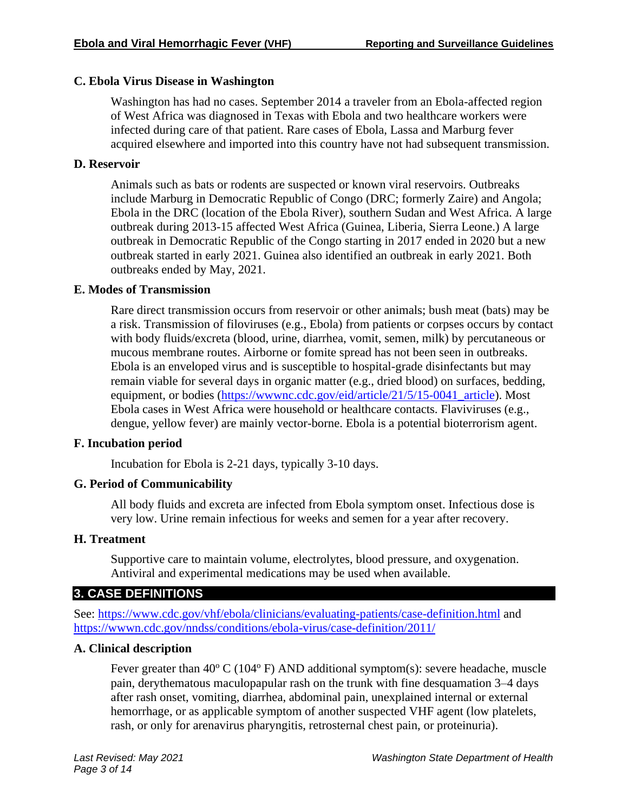### **C. Ebola Virus Disease in Washington**

Washington has had no cases. September 2014 a traveler from an Ebola-affected region of West Africa was diagnosed in Texas with Ebola and two healthcare workers were infected during care of that patient. Rare cases of Ebola, Lassa and Marburg fever acquired elsewhere and imported into this country have not had subsequent transmission.

# **D. Reservoir**

Animals such as bats or rodents are suspected or known viral reservoirs. Outbreaks include Marburg in Democratic Republic of Congo (DRC; formerly Zaire) and Angola; Ebola in the DRC (location of the Ebola River), southern Sudan and West Africa. A large outbreak during 2013-15 affected West Africa (Guinea, Liberia, Sierra Leone.) A large outbreak in Democratic Republic of the Congo starting in 2017 ended in 2020 but a new outbreak started in early 2021. Guinea also identified an outbreak in early 2021. Both outbreaks ended by May, 2021.

#### **E. Modes of Transmission**

Rare direct transmission occurs from reservoir or other animals; bush meat (bats) may be a risk. Transmission of filoviruses (e.g., Ebola) from patients or corpses occurs by contact with body fluids/excreta (blood, urine, diarrhea, vomit, semen, milk) by percutaneous or mucous membrane routes. Airborne or fomite spread has not been seen in outbreaks. Ebola is an enveloped virus and is susceptible to hospital-grade disinfectants but may remain viable for several days in organic matter (e.g., dried blood) on surfaces, bedding, equipment, or bodies (https://wwwnc.cdc.gov/eid/article/21/5/15-0041 article). Most Ebola cases in West Africa were household or healthcare contacts. Flaviviruses (e.g., dengue, yellow fever) are mainly vector-borne. Ebola is a potential bioterrorism agent.

#### **F. Incubation period**

Incubation for Ebola is 2-21 days, typically 3-10 days.

# **G. Period of Communicability**

All body fluids and excreta are infected from Ebola symptom onset. Infectious dose is very low. Urine remain infectious for weeks and semen for a year after recovery.

#### **H. Treatment**

Supportive care to maintain volume, electrolytes, blood pressure, and oxygenation. Antiviral and experimental medications may be used when available.

# **3. CASE DEFINITIONS**

See:<https://www.cdc.gov/vhf/ebola/clinicians/evaluating-patients/case-definition.html> and <https://wwwn.cdc.gov/nndss/conditions/ebola-virus/case-definition/2011/>

# **A. Clinical description**

Fever greater than  $40^{\circ}$  C (104 $^{\circ}$  F) AND additional symptom(s): severe headache, muscle pain, derythematous maculopapular rash on the trunk with fine desquamation 3–4 days after rash onset, vomiting, diarrhea, abdominal pain, unexplained internal or external hemorrhage, or as applicable symptom of another suspected VHF agent (low platelets, rash, or only for arenavirus pharyngitis, retrosternal chest pain, or proteinuria).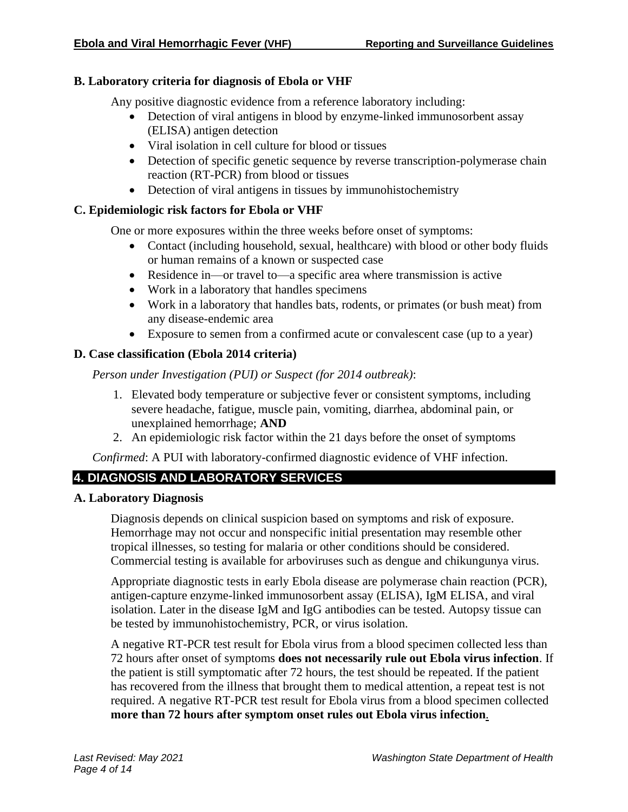#### **B. Laboratory criteria for diagnosis of Ebola or VHF**

Any positive diagnostic evidence from a reference laboratory including:

- Detection of viral antigens in blood by enzyme-linked immunosorbent assay (ELISA) antigen detection
- Viral isolation in cell culture for blood or tissues
- Detection of specific genetic sequence by reverse transcription-polymerase chain reaction (RT-PCR) from blood or tissues
- Detection of viral antigens in tissues by immunohistochemistry

#### **C. Epidemiologic risk factors for Ebola or VHF**

One or more exposures within the three weeks before onset of symptoms:

- Contact (including household, sexual, healthcare) with blood or other body fluids or human remains of a known or suspected case
- Residence in—or travel to—a specific area where transmission is active
- Work in a laboratory that handles specimens
- Work in a laboratory that handles bats, rodents, or primates (or bush meat) from any disease-endemic area
- Exposure to semen from a confirmed acute or convalescent case (up to a year)

# **D. Case classification (Ebola 2014 criteria)**

*Person under Investigation (PUI) or Suspect (for 2014 outbreak)*:

- 1. Elevated body temperature or subjective fever or consistent symptoms, including severe headache, fatigue, muscle pain, vomiting, diarrhea, abdominal pain, or unexplained hemorrhage; **AND**
- 2. An epidemiologic risk factor within the 21 days before the onset of symptoms

*Confirmed*: A PUI with laboratory-confirmed diagnostic evidence of VHF infection.

# **4. DIAGNOSIS AND LABORATORY SERVICES**

#### **A. Laboratory Diagnosis**

Diagnosis depends on clinical suspicion based on symptoms and risk of exposure. Hemorrhage may not occur and nonspecific initial presentation may resemble other tropical illnesses, so testing for malaria or other conditions should be considered. Commercial testing is available for arboviruses such as dengue and chikungunya virus.

Appropriate diagnostic tests in early Ebola disease are polymerase chain reaction (PCR), antigen-capture enzyme-linked immunosorbent assay (ELISA), IgM ELISA, and viral isolation. Later in the disease IgM and IgG antibodies can be tested. Autopsy tissue can be tested by immunohistochemistry, PCR, or virus isolation.

A negative RT-PCR test result for Ebola virus from a blood specimen collected less than 72 hours after onset of symptoms **does not necessarily rule out Ebola virus infection**. If the patient is still symptomatic after 72 hours, the test should be repeated. If the patient has recovered from the illness that brought them to medical attention, a repeat test is not required. A negative RT-PCR test result for Ebola virus from a blood specimen collected **more than 72 hours after symptom onset rules out Ebola virus infection**.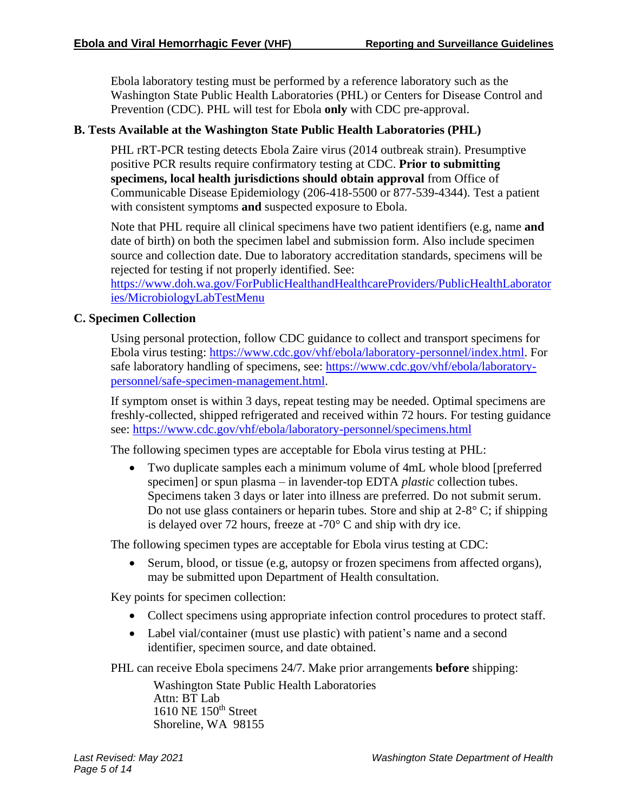Ebola laboratory testing must be performed by a reference laboratory such as the Washington State Public Health Laboratories (PHL) or Centers for Disease Control and Prevention (CDC). PHL will test for Ebola **only** with CDC pre-approval.

### **B. Tests Available at the Washington State Public Health Laboratories (PHL)**

PHL rRT-PCR testing detects Ebola Zaire virus (2014 outbreak strain). Presumptive positive PCR results require confirmatory testing at CDC. **Prior to submitting specimens, local health jurisdictions should obtain approval** from Office of Communicable Disease Epidemiology (206-418-5500 or 877-539-4344). Test a patient with consistent symptoms **and** suspected exposure to Ebola.

Note that PHL require all clinical specimens have two patient identifiers (e.g, name **and** date of birth) on both the specimen label and submission form. Also include specimen source and collection date. Due to laboratory accreditation standards, specimens will be rejected for testing if not properly identified. See:

[https://www.doh.wa.gov/ForPublicHealthandHealthcareProviders/PublicHealthLaborator](https://www.doh.wa.gov/ForPublicHealthandHealthcareProviders/PublicHealthLaboratories/MicrobiologyLabTestMenu) [ies/MicrobiologyLabTestMenu](https://www.doh.wa.gov/ForPublicHealthandHealthcareProviders/PublicHealthLaboratories/MicrobiologyLabTestMenu)

#### **C. Specimen Collection**

Using personal protection, follow CDC guidance to collect and transport specimens for Ebola virus testing: [https://www.cdc.gov/vhf/ebola/laboratory-personnel/index.html.](https://www.cdc.gov/vhf/ebola/laboratory-personnel/index.html) For safe laboratory handling of specimens, see: [https://www.cdc.gov/vhf/ebola/laboratory](https://www.cdc.gov/vhf/ebola/laboratory-personnel/safe-specimen-management.html)[personnel/safe-specimen-management.html.](https://www.cdc.gov/vhf/ebola/laboratory-personnel/safe-specimen-management.html)

If symptom onset is within 3 days, repeat testing may be needed. Optimal specimens are freshly-collected, shipped refrigerated and received within 72 hours. For testing guidance see:<https://www.cdc.gov/vhf/ebola/laboratory-personnel/specimens.html>

The following specimen types are acceptable for Ebola virus testing at PHL:

• Two duplicate samples each a minimum volume of 4mL whole blood [preferred specimen] or spun plasma – in lavender-top EDTA *plastic* collection tubes. Specimens taken 3 days or later into illness are preferred. Do not submit serum. Do not use glass containers or heparin tubes. Store and ship at 2-8° C; if shipping is delayed over 72 hours, freeze at -70° C and ship with dry ice.

The following specimen types are acceptable for Ebola virus testing at CDC:

• Serum, blood, or tissue (e.g, autopsy or frozen specimens from affected organs), may be submitted upon Department of Health consultation.

Key points for specimen collection:

- Collect specimens using appropriate infection control procedures to protect staff.
- Label vial/container (must use plastic) with patient's name and a second identifier, specimen source, and date obtained.

PHL can receive Ebola specimens 24/7. Make prior arrangements **before** shipping:

Washington State Public Health Laboratories Attn: BT Lab 1610 NE 150<sup>th</sup> Street Shoreline, WA 98155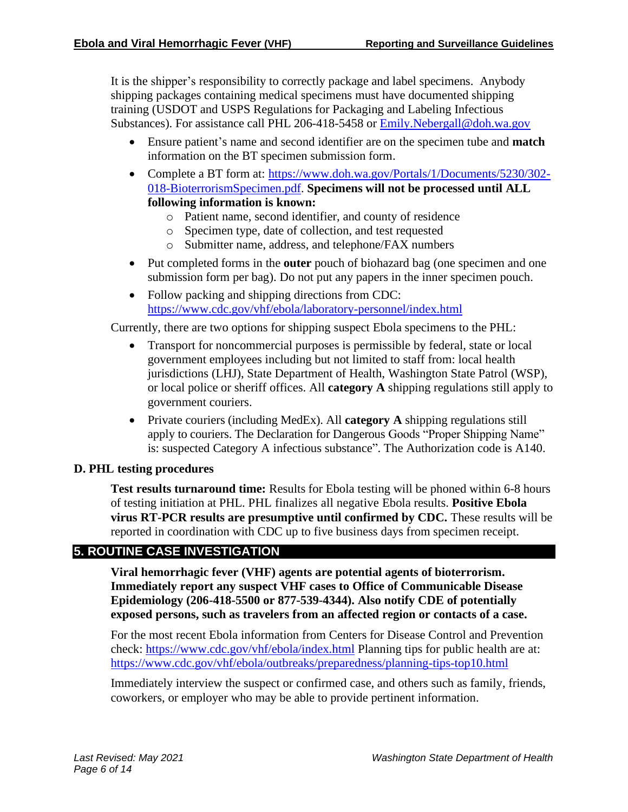It is the shipper's responsibility to correctly package and label specimens. Anybody shipping packages containing medical specimens must have documented shipping training (USDOT and USPS Regulations for Packaging and Labeling Infectious Substances). For assistance call PHL 206-418-5458 or [Emily.Nebergall@doh.wa.gov](mailto:Emily.Nebergall@doh.wa.gov)

- Ensure patient's name and second identifier are on the specimen tube and **match** information on the BT specimen submission form.
- Complete a BT form at: [https://www.doh.wa.gov/Portals/1/Documents/5230/302-](https://www.doh.wa.gov/Portals/1/Documents/5230/302-018-BioterrorismSpecimen.pdf) [018-BioterrorismSpecimen.pdf.](https://www.doh.wa.gov/Portals/1/Documents/5230/302-018-BioterrorismSpecimen.pdf) **Specimens will not be processed until ALL following information is known:**
	- o Patient name, second identifier, and county of residence
	- o Specimen type, date of collection, and test requested
	- o Submitter name, address, and telephone/FAX numbers
- Put completed forms in the **outer** pouch of biohazard bag (one specimen and one submission form per bag). Do not put any papers in the inner specimen pouch.
- Follow packing and shipping directions from CDC: <https://www.cdc.gov/vhf/ebola/laboratory-personnel/index.html>

Currently, there are two options for shipping suspect Ebola specimens to the PHL:

- Transport for noncommercial purposes is permissible by federal, state or local government employees including but not limited to staff from: local health jurisdictions (LHJ), State Department of Health, Washington State Patrol (WSP), or local police or sheriff offices. All **category A** shipping regulations still apply to government couriers.
- Private couriers (including MedEx). All **category A** shipping regulations still apply to couriers. The Declaration for Dangerous Goods "Proper Shipping Name" is: suspected Category A infectious substance". The Authorization code is A140.

#### **D. PHL testing procedures**

**Test results turnaround time:** Results for Ebola testing will be phoned within 6-8 hours of testing initiation at PHL. PHL finalizes all negative Ebola results. **Positive Ebola virus RT-PCR results are presumptive until confirmed by CDC.** These results will be reported in coordination with CDC up to five business days from specimen receipt.

# **5. ROUTINE CASE INVESTIGATION**

**Viral hemorrhagic fever (VHF) agents are potential agents of bioterrorism. Immediately report any suspect VHF cases to Office of Communicable Disease Epidemiology (206-418-5500 or 877-539-4344). Also notify CDE of potentially exposed persons, such as travelers from an affected region or contacts of a case.**

For the most recent Ebola information from Centers for Disease Control and Prevention check:<https://www.cdc.gov/vhf/ebola/index.html> Planning tips for public health are at: <https://www.cdc.gov/vhf/ebola/outbreaks/preparedness/planning-tips-top10.html>

Immediately interview the suspect or confirmed case, and others such as family, friends, coworkers, or employer who may be able to provide pertinent information.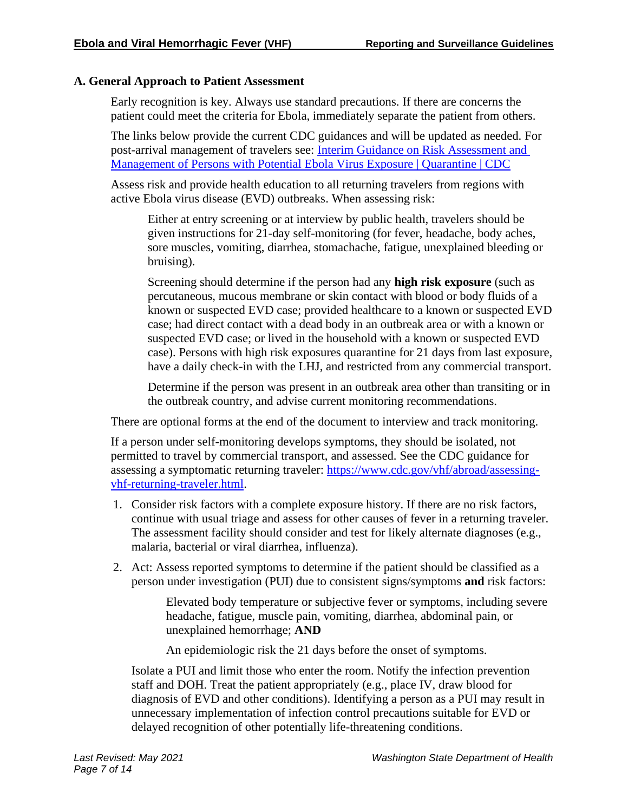#### **A. General Approach to Patient Assessment**

Early recognition is key. Always use standard precautions. If there are concerns the patient could meet the criteria for Ebola, immediately separate the patient from others.

The links below provide the current CDC guidances and will be updated as needed. For post-arrival management of travelers see: [Interim Guidance on Risk Assessment and](https://www.cdc.gov/quarantine/interim-guidance-risk-assessment-ebola.html#post-arrival-management)  [Management of Persons with Potential Ebola Virus Exposure | Quarantine | CDC](https://www.cdc.gov/quarantine/interim-guidance-risk-assessment-ebola.html#post-arrival-management)

Assess risk and provide health education to all returning travelers from regions with active Ebola virus disease (EVD) outbreaks. When assessing risk:

Either at entry screening or at interview by public health, travelers should be given instructions for 21-day self-monitoring (for fever, headache, body aches, sore muscles, vomiting, diarrhea, stomachache, fatigue, unexplained bleeding or bruising).

Screening should determine if the person had any **high risk exposure** (such as percutaneous, mucous membrane or skin contact with blood or body fluids of a known or suspected EVD case; provided healthcare to a known or suspected EVD case; had direct contact with a dead body in an outbreak area or with a known or suspected EVD case; or lived in the household with a known or suspected EVD case). Persons with high risk exposures quarantine for 21 days from last exposure, have a daily check-in with the LHJ, and restricted from any commercial transport.

Determine if the person was present in an outbreak area other than transiting or in the outbreak country, and advise current monitoring recommendations.

There are optional forms at the end of the document to interview and track monitoring.

If a person under self-monitoring develops symptoms, they should be isolated, not permitted to travel by commercial transport, and assessed. See the CDC guidance for assessing a symptomatic returning traveler: [https://www.cdc.gov/vhf/abroad/assessing](https://www.cdc.gov/vhf/abroad/assessing-vhf-returning-traveler.html)[vhf-returning-traveler.html.](https://www.cdc.gov/vhf/abroad/assessing-vhf-returning-traveler.html)

- 1. Consider risk factors with a complete exposure history. If there are no risk factors, continue with usual triage and assess for other causes of fever in a returning traveler. The assessment facility should consider and test for likely alternate diagnoses (e.g., malaria, bacterial or viral diarrhea, influenza).
- 2. Act: Assess reported symptoms to determine if the patient should be classified as a person under investigation (PUI) due to consistent signs/symptoms **and** risk factors:

Elevated body temperature or subjective fever or symptoms, including severe headache, fatigue, muscle pain, vomiting, diarrhea, abdominal pain, or unexplained hemorrhage; **AND**

An epidemiologic risk the 21 days before the onset of symptoms.

Isolate a PUI and limit those who enter the room. Notify the infection prevention staff and DOH. Treat the patient appropriately (e.g., place IV, draw blood for diagnosis of EVD and other conditions). Identifying a person as a PUI may result in unnecessary implementation of infection control precautions suitable for EVD or delayed recognition of other potentially life-threatening conditions.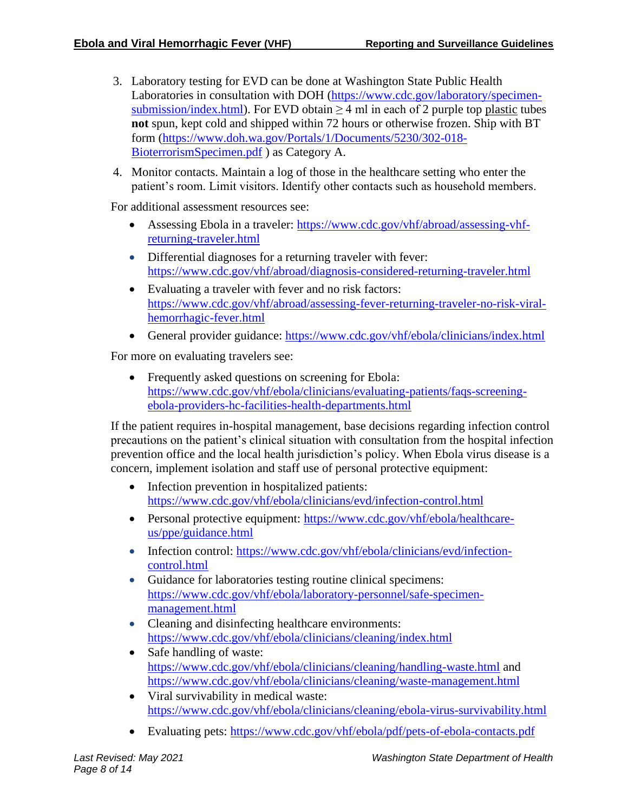- 3. Laboratory testing for EVD can be done at Washington State Public Health Laboratories in consultation with DOH [\(https://www.cdc.gov/laboratory/specimen](https://www.cdc.gov/laboratory/specimen-submission/index.html)[submission/index.html\)](https://www.cdc.gov/laboratory/specimen-submission/index.html). For EVD obtain  $\geq$  4 ml in each of 2 purple top plastic tubes **not** spun, kept cold and shipped within 72 hours or otherwise frozen. Ship with BT form [\(https://www.doh.wa.gov/Portals/1/Documents/5230/302-018-](https://www.doh.wa.gov/Portals/1/Documents/5230/302-018-BioterrorismSpecimen.pdf) [BioterrorismSpecimen.pdf](https://www.doh.wa.gov/Portals/1/Documents/5230/302-018-BioterrorismSpecimen.pdf) ) as Category A.
- 4. Monitor contacts. Maintain a log of those in the healthcare setting who enter the patient's room. Limit visitors. Identify other contacts such as household members.

For additional assessment resources see:

- Assessing Ebola in a traveler: [https://www.cdc.gov/vhf/abroad/assessing-vhf](https://www.cdc.gov/vhf/abroad/assessing-vhf-returning-traveler.html)[returning-traveler.html](https://www.cdc.gov/vhf/abroad/assessing-vhf-returning-traveler.html)
- Differential diagnoses for a returning traveler with fever: <https://www.cdc.gov/vhf/abroad/diagnosis-considered-returning-traveler.html>
- Evaluating a traveler with fever and no risk factors: [https://www.cdc.gov/vhf/abroad/assessing-fever-returning-traveler-no-risk-viral](https://www.cdc.gov/vhf/abroad/assessing-fever-returning-traveler-no-risk-viral-hemorrhagic-fever.html)[hemorrhagic-fever.html](https://www.cdc.gov/vhf/abroad/assessing-fever-returning-traveler-no-risk-viral-hemorrhagic-fever.html)
- General provider guidance: <https://www.cdc.gov/vhf/ebola/clinicians/index.html>

For more on evaluating travelers see:

• Frequently asked questions on screening for Ebola: [https://www.cdc.gov/vhf/ebola/clinicians/evaluating-patients/faqs-screening](https://www.cdc.gov/vhf/ebola/clinicians/evaluating-patients/faqs-screening-ebola-providers-hc-facilities-health-departments.html)[ebola-providers-hc-facilities-health-departments.html](https://www.cdc.gov/vhf/ebola/clinicians/evaluating-patients/faqs-screening-ebola-providers-hc-facilities-health-departments.html)

If the patient requires in-hospital management, base decisions regarding infection control precautions on the patient's clinical situation with consultation from the hospital infection prevention office and the local health jurisdiction's policy. When Ebola virus disease is a concern, implement isolation and staff use of personal protective equipment:

- Infection prevention in hospitalized patients: <https://www.cdc.gov/vhf/ebola/clinicians/evd/infection-control.html>
- Personal protective equipment: [https://www.cdc.gov/vhf/ebola/healthcare](https://www.cdc.gov/vhf/ebola/healthcare-us/ppe/guidance.html)[us/ppe/guidance.html](https://www.cdc.gov/vhf/ebola/healthcare-us/ppe/guidance.html)
- Infection control: [https://www.cdc.gov/vhf/ebola/clinicians/evd/infection](https://www.cdc.gov/vhf/ebola/clinicians/evd/infection-control.html)[control.html](https://www.cdc.gov/vhf/ebola/clinicians/evd/infection-control.html)
- Guidance for laboratories testing routine clinical specimens: [https://www.cdc.gov/vhf/ebola/laboratory-personnel/safe-specimen](https://www.cdc.gov/vhf/ebola/laboratory-personnel/safe-specimen-management.html)[management.html](https://www.cdc.gov/vhf/ebola/laboratory-personnel/safe-specimen-management.html)
- Cleaning and disinfecting healthcare environments: <https://www.cdc.gov/vhf/ebola/clinicians/cleaning/index.html>
- Safe handling of waste: <https://www.cdc.gov/vhf/ebola/clinicians/cleaning/handling-waste.html> and <https://www.cdc.gov/vhf/ebola/clinicians/cleaning/waste-management.html>
- Viral survivability in medical waste: <https://www.cdc.gov/vhf/ebola/clinicians/cleaning/ebola-virus-survivability.html>
- Evaluating pets:<https://www.cdc.gov/vhf/ebola/pdf/pets-of-ebola-contacts.pdf>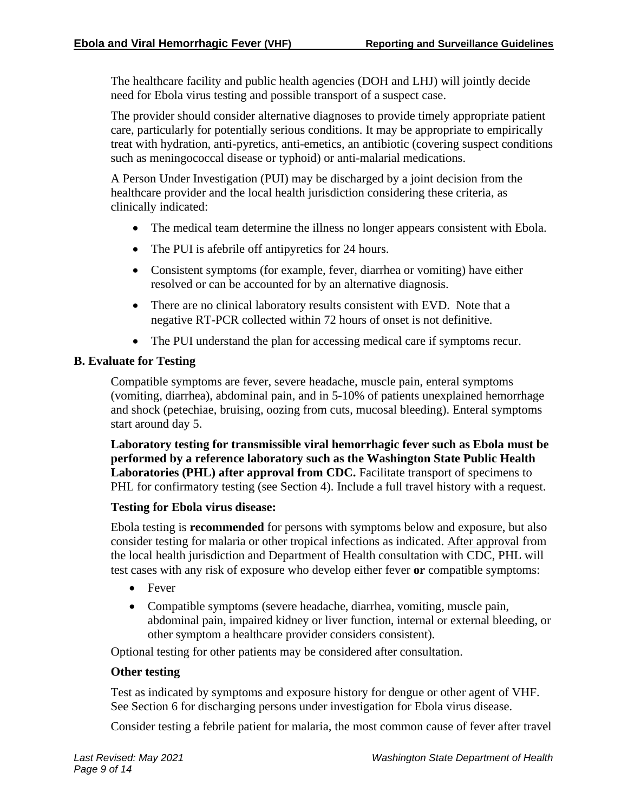The healthcare facility and public health agencies (DOH and LHJ) will jointly decide need for Ebola virus testing and possible transport of a suspect case.

The provider should consider alternative diagnoses to provide timely appropriate patient care, particularly for potentially serious conditions. It may be appropriate to empirically treat with hydration, anti-pyretics, anti-emetics, an antibiotic (covering suspect conditions such as meningococcal disease or typhoid) or anti-malarial medications.

A Person Under Investigation (PUI) may be discharged by a joint decision from the healthcare provider and the local health jurisdiction considering these criteria, as clinically indicated:

- The medical team determine the illness no longer appears consistent with Ebola.
- The PUI is afebrile off antipyretics for 24 hours.
- Consistent symptoms (for example, fever, diarrhea or vomiting) have either resolved or can be accounted for by an alternative diagnosis.
- There are no clinical laboratory results consistent with EVD. Note that a negative RT-PCR collected within 72 hours of onset is not definitive.
- The PUI understand the plan for accessing medical care if symptoms recur.

#### **B. Evaluate for Testing**

Compatible symptoms are fever, severe headache, muscle pain, enteral symptoms (vomiting, diarrhea), abdominal pain, and in 5-10% of patients unexplained hemorrhage and shock (petechiae, bruising, oozing from cuts, mucosal bleeding). Enteral symptoms start around day 5.

**Laboratory testing for transmissible viral hemorrhagic fever such as Ebola must be performed by a reference laboratory such as the Washington State Public Health Laboratories (PHL) after approval from CDC.** Facilitate transport of specimens to PHL for confirmatory testing (see Section 4). Include a full travel history with a request.

#### **Testing for Ebola virus disease:**

Ebola testing is **recommended** for persons with symptoms below and exposure, but also consider testing for malaria or other tropical infections as indicated. After approval from the local health jurisdiction and Department of Health consultation with CDC, PHL will test cases with any risk of exposure who develop either fever **or** compatible symptoms:

- Fever
- Compatible symptoms (severe headache, diarrhea, vomiting, muscle pain, abdominal pain, impaired kidney or liver function, internal or external bleeding, or other symptom a healthcare provider considers consistent).

Optional testing for other patients may be considered after consultation.

#### **Other testing**

Test as indicated by symptoms and exposure history for dengue or other agent of VHF. See Section 6 for discharging persons under investigation for Ebola virus disease.

Consider testing a febrile patient for malaria, the most common cause of fever after travel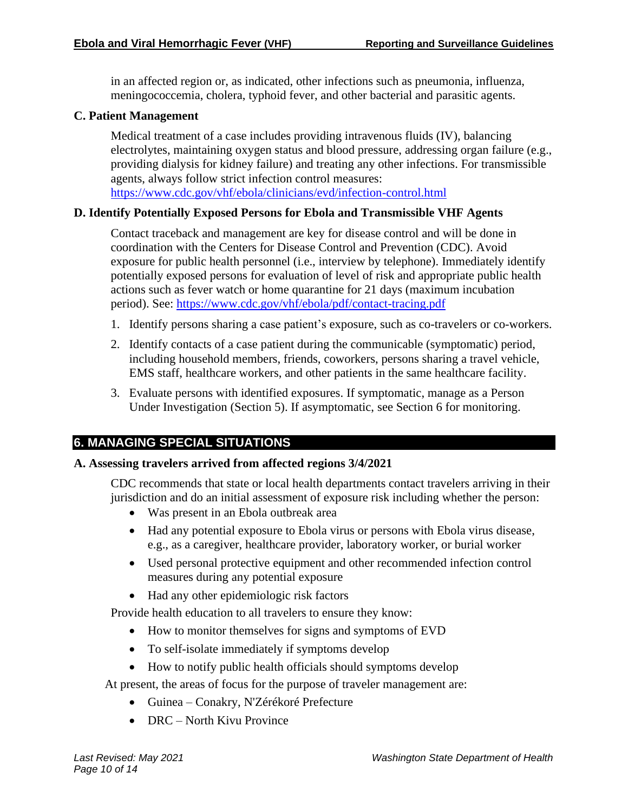in an affected region or, as indicated, other infections such as pneumonia, influenza, meningococcemia, cholera, typhoid fever, and other bacterial and parasitic agents.

#### **C. Patient Management**

Medical treatment of a case includes providing intravenous fluids (IV), balancing electrolytes, maintaining oxygen status and blood pressure, addressing organ failure (e.g., providing dialysis for kidney failure) and treating any other infections. For transmissible agents, always follow strict infection control measures: <https://www.cdc.gov/vhf/ebola/clinicians/evd/infection-control.html>

#### **D. Identify Potentially Exposed Persons for Ebola and Transmissible VHF Agents**

Contact traceback and management are key for disease control and will be done in coordination with the Centers for Disease Control and Prevention (CDC). Avoid exposure for public health personnel (i.e., interview by telephone). Immediately identify potentially exposed persons for evaluation of level of risk and appropriate public health actions such as fever watch or home quarantine for 21 days (maximum incubation period). See:<https://www.cdc.gov/vhf/ebola/pdf/contact-tracing.pdf>

- 1. Identify persons sharing a case patient's exposure, such as co-travelers or co-workers.
- 2. Identify contacts of a case patient during the communicable (symptomatic) period, including household members, friends, coworkers, persons sharing a travel vehicle, EMS staff, healthcare workers, and other patients in the same healthcare facility.
- 3. Evaluate persons with identified exposures. If symptomatic, manage as a Person Under Investigation (Section 5). If asymptomatic, see Section 6 for monitoring.

#### **6. MANAGING SPECIAL SITUATIONS**

#### **A. Assessing travelers arrived from affected regions 3/4/2021**

CDC recommends that state or local health departments contact travelers arriving in their jurisdiction and do an initial assessment of exposure risk including whether the person:

- Was present in an Ebola outbreak area
- Had any potential exposure to Ebola virus or persons with Ebola virus disease, e.g., as a caregiver, healthcare provider, laboratory worker, or burial worker
- Used personal protective equipment and other recommended infection control measures during any potential exposure
- Had any other epidemiologic risk factors

Provide health education to all travelers to ensure they know:

- How to monitor themselves for signs and symptoms of EVD
- To self-isolate immediately if symptoms develop
- How to notify public health officials should symptoms develop

At present, the areas of focus for the purpose of traveler management are:

- Guinea Conakry, N'Zérékoré Prefecture
- DRC North Kivu Province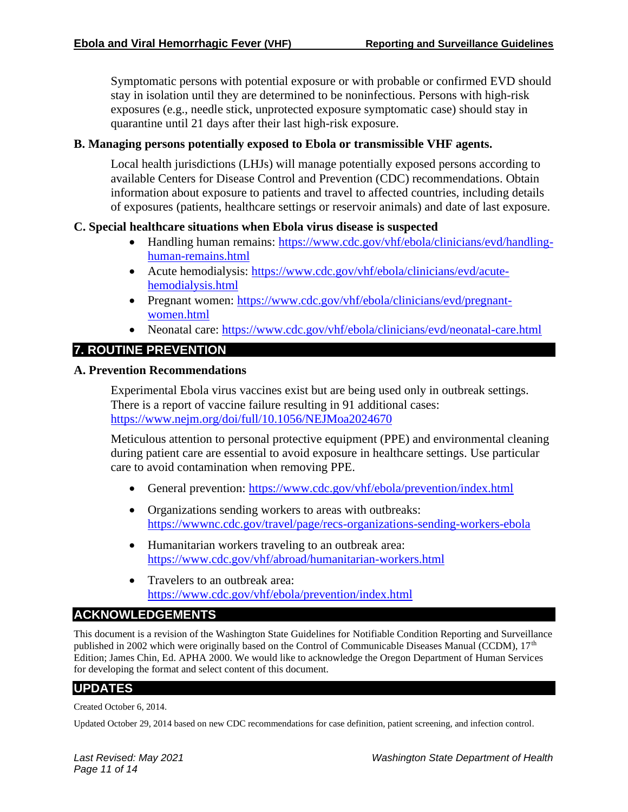Symptomatic persons with potential exposure or with probable or confirmed EVD should stay in isolation until they are determined to be noninfectious. Persons with high-risk exposures (e.g., needle stick, unprotected exposure symptomatic case) should stay in quarantine until 21 days after their last high-risk exposure.

#### **B. Managing persons potentially exposed to Ebola or transmissible VHF agents.**

Local health jurisdictions (LHJs) will manage potentially exposed persons according to available Centers for Disease Control and Prevention (CDC) recommendations. Obtain information about exposure to patients and travel to affected countries, including details of exposures (patients, healthcare settings or reservoir animals) and date of last exposure.

#### **C. Special healthcare situations when Ebola virus disease is suspected**

- Handling human remains: [https://www.cdc.gov/vhf/ebola/clinicians/evd/handling](https://www.cdc.gov/vhf/ebola/clinicians/evd/handling-human-remains.html)[human-remains.html](https://www.cdc.gov/vhf/ebola/clinicians/evd/handling-human-remains.html)
- Acute hemodialysis: [https://www.cdc.gov/vhf/ebola/clinicians/evd/acute](https://www.cdc.gov/vhf/ebola/clinicians/evd/acute-hemodialysis.html)[hemodialysis.html](https://www.cdc.gov/vhf/ebola/clinicians/evd/acute-hemodialysis.html)
- Pregnant women: [https://www.cdc.gov/vhf/ebola/clinicians/evd/pregnant](https://www.cdc.gov/vhf/ebola/clinicians/evd/pregnant-women.html)[women.html](https://www.cdc.gov/vhf/ebola/clinicians/evd/pregnant-women.html)
- Neonatal care:<https://www.cdc.gov/vhf/ebola/clinicians/evd/neonatal-care.html>

# **7. ROUTINE PREVENTION**

#### **A. Prevention Recommendations**

Experimental Ebola virus vaccines exist but are being used only in outbreak settings. There is a report of vaccine failure resulting in 91 additional cases: <https://www.nejm.org/doi/full/10.1056/NEJMoa2024670>

Meticulous attention to personal protective equipment (PPE) and environmental cleaning during patient care are essential to avoid exposure in healthcare settings. Use particular care to avoid contamination when removing PPE.

- General prevention:<https://www.cdc.gov/vhf/ebola/prevention/index.html>
- Organizations sending workers to areas with outbreaks: <https://wwwnc.cdc.gov/travel/page/recs-organizations-sending-workers-ebola>
- Humanitarian workers traveling to an outbreak area: <https://www.cdc.gov/vhf/abroad/humanitarian-workers.html>
- Travelers to an outbreak area: <https://www.cdc.gov/vhf/ebola/prevention/index.html>

#### **ACKNOWLEDGEMENTS**

This document is a revision of the Washington State Guidelines for Notifiable Condition Reporting and Surveillance published in 2002 which were originally based on the Control of Communicable Diseases Manual (CCDM), 17<sup>th</sup> Edition; James Chin, Ed. APHA 2000. We would like to acknowledge the Oregon Department of Human Services for developing the format and select content of this document.

#### **UPDATES**

Created October 6, 2014.

Updated October 29, 2014 based on new CDC recommendations for case definition, patient screening, and infection control.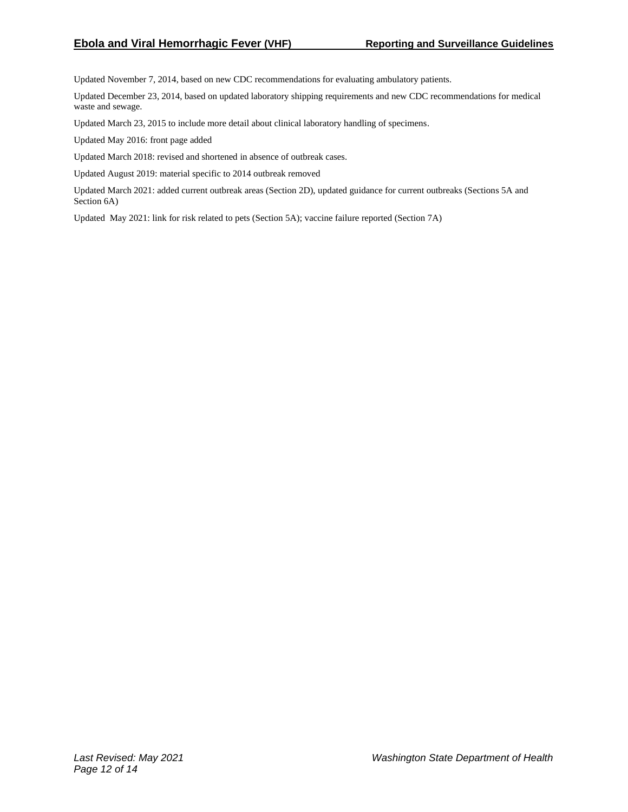Updated November 7, 2014, based on new CDC recommendations for evaluating ambulatory patients.

Updated December 23, 2014, based on updated laboratory shipping requirements and new CDC recommendations for medical waste and sewage.

Updated March 23, 2015 to include more detail about clinical laboratory handling of specimens.

Updated May 2016: front page added

Updated March 2018: revised and shortened in absence of outbreak cases.

Updated August 2019: material specific to 2014 outbreak removed

Updated March 2021: added current outbreak areas (Section 2D), updated guidance for current outbreaks (Sections 5A and Section 6A)

Updated May 2021: link for risk related to pets (Section 5A); vaccine failure reported (Section 7A)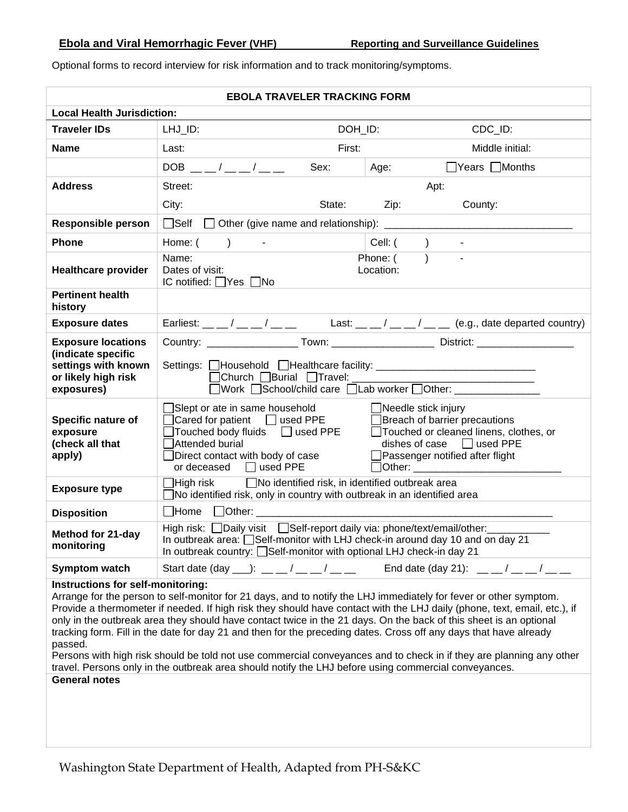|                                                                                                             | <b>EBOLA TRAVELER TRACKING FORM</b>                                                                                                                                                                                                                                                                                                                                                                                                                                                                                                                                                                                                                                            |                    |                                                                                                                                                                                                                                                                                                                                                                                                                                                                                                                                                                                                                                                                                                                        |  |  |  |  |  |  |  |  |
|-------------------------------------------------------------------------------------------------------------|--------------------------------------------------------------------------------------------------------------------------------------------------------------------------------------------------------------------------------------------------------------------------------------------------------------------------------------------------------------------------------------------------------------------------------------------------------------------------------------------------------------------------------------------------------------------------------------------------------------------------------------------------------------------------------|--------------------|------------------------------------------------------------------------------------------------------------------------------------------------------------------------------------------------------------------------------------------------------------------------------------------------------------------------------------------------------------------------------------------------------------------------------------------------------------------------------------------------------------------------------------------------------------------------------------------------------------------------------------------------------------------------------------------------------------------------|--|--|--|--|--|--|--|--|
| <b>Local Health Jurisdiction:</b>                                                                           |                                                                                                                                                                                                                                                                                                                                                                                                                                                                                                                                                                                                                                                                                |                    |                                                                                                                                                                                                                                                                                                                                                                                                                                                                                                                                                                                                                                                                                                                        |  |  |  |  |  |  |  |  |
| <b>Traveler IDs</b>                                                                                         | LHJ_ID:                                                                                                                                                                                                                                                                                                                                                                                                                                                                                                                                                                                                                                                                        | DOH_ID:<br>CDC_ID: |                                                                                                                                                                                                                                                                                                                                                                                                                                                                                                                                                                                                                                                                                                                        |  |  |  |  |  |  |  |  |
| <b>Name</b>                                                                                                 | Last:                                                                                                                                                                                                                                                                                                                                                                                                                                                                                                                                                                                                                                                                          | First:             | Middle initial:                                                                                                                                                                                                                                                                                                                                                                                                                                                                                                                                                                                                                                                                                                        |  |  |  |  |  |  |  |  |
|                                                                                                             | $DOB$ __/__/__/__                                                                                                                                                                                                                                                                                                                                                                                                                                                                                                                                                                                                                                                              | Sex:               | $\Box$ Years $\Box$ Months<br>Age:                                                                                                                                                                                                                                                                                                                                                                                                                                                                                                                                                                                                                                                                                     |  |  |  |  |  |  |  |  |
| <b>Address</b>                                                                                              | Street:<br>Apt:                                                                                                                                                                                                                                                                                                                                                                                                                                                                                                                                                                                                                                                                |                    |                                                                                                                                                                                                                                                                                                                                                                                                                                                                                                                                                                                                                                                                                                                        |  |  |  |  |  |  |  |  |
|                                                                                                             | City:                                                                                                                                                                                                                                                                                                                                                                                                                                                                                                                                                                                                                                                                          |                    | State: Zip:<br>County:                                                                                                                                                                                                                                                                                                                                                                                                                                                                                                                                                                                                                                                                                                 |  |  |  |  |  |  |  |  |
| <b>Responsible person</b>                                                                                   |                                                                                                                                                                                                                                                                                                                                                                                                                                                                                                                                                                                                                                                                                |                    |                                                                                                                                                                                                                                                                                                                                                                                                                                                                                                                                                                                                                                                                                                                        |  |  |  |  |  |  |  |  |
| <b>Phone</b>                                                                                                | Home: $($ ) -                                                                                                                                                                                                                                                                                                                                                                                                                                                                                                                                                                                                                                                                  |                    | Cell: ( )<br>$\sim$                                                                                                                                                                                                                                                                                                                                                                                                                                                                                                                                                                                                                                                                                                    |  |  |  |  |  |  |  |  |
| <b>Healthcare provider</b>                                                                                  | Name:<br>Dates of visit:<br>IC notified: $\Box$ Yes $\Box$ No                                                                                                                                                                                                                                                                                                                                                                                                                                                                                                                                                                                                                  |                    | $\overline{)}$<br>Phone: (<br>Location:                                                                                                                                                                                                                                                                                                                                                                                                                                                                                                                                                                                                                                                                                |  |  |  |  |  |  |  |  |
| <b>Pertinent health</b><br>history                                                                          |                                                                                                                                                                                                                                                                                                                                                                                                                                                                                                                                                                                                                                                                                |                    |                                                                                                                                                                                                                                                                                                                                                                                                                                                                                                                                                                                                                                                                                                                        |  |  |  |  |  |  |  |  |
| <b>Exposure dates</b>                                                                                       |                                                                                                                                                                                                                                                                                                                                                                                                                                                                                                                                                                                                                                                                                |                    | Earliest: __ _/ __ _/ __ _ Last: _ _ / _ _ _/ _ _ (e.g., date departed country)                                                                                                                                                                                                                                                                                                                                                                                                                                                                                                                                                                                                                                        |  |  |  |  |  |  |  |  |
| <b>Exposure locations</b><br>(indicate specific<br>settings with known<br>or likely high risk<br>exposures) | Settings: <b>Nousehold</b> Nealthcare facility: <b>No. 1998</b> Settings: Nousehold Nealthcare facility:<br>□Church □Burial □Travel: _______                                                                                                                                                                                                                                                                                                                                                                                                                                                                                                                                   |                    |                                                                                                                                                                                                                                                                                                                                                                                                                                                                                                                                                                                                                                                                                                                        |  |  |  |  |  |  |  |  |
| Specific nature of<br>exposure<br>(check all that<br>apply)                                                 | □Work □School/child care □Lab worker □Other: ______________<br>]Slept or ate in same household △ □ □ Needle stick injury<br>$\Box$ Cared for patient $\Box$ used PPE<br>Breach of barrier precautions<br>Touched body fluids □ used PPE Touched or cleaned linens, clothes, or<br>dishes of case $\Box$ used PPE<br>Attended burial<br>□Direct contact with body of case<br>□ Passenger notified after flight<br>or deceased $\Box$ used PPE<br>Other: the contract of the contract of the contract of the contract of the contract of the contract of the contract of the contract of the contract of the contract of the contract of the contract of the contract of the con |                    |                                                                                                                                                                                                                                                                                                                                                                                                                                                                                                                                                                                                                                                                                                                        |  |  |  |  |  |  |  |  |
| <b>Exposure type</b>                                                                                        | $\Box$ High risk $\Box$ No identified risk, in identified outbreak area<br>$\Box$ No identified risk, only in country with outbreak in an identified area                                                                                                                                                                                                                                                                                                                                                                                                                                                                                                                      |                    |                                                                                                                                                                                                                                                                                                                                                                                                                                                                                                                                                                                                                                                                                                                        |  |  |  |  |  |  |  |  |
| <b>Disposition</b>                                                                                          |                                                                                                                                                                                                                                                                                                                                                                                                                                                                                                                                                                                                                                                                                |                    |                                                                                                                                                                                                                                                                                                                                                                                                                                                                                                                                                                                                                                                                                                                        |  |  |  |  |  |  |  |  |
| Method for 21-day<br>monitoring                                                                             | High risk: Daily visit Self-report daily via: phone/text/email/other:<br>In outbreak country: Self-monitor with optional LHJ check-in day 21                                                                                                                                                                                                                                                                                                                                                                                                                                                                                                                                   |                    | In outbreak area: Self-monitor with LHJ check-in around day 10 and on day 21                                                                                                                                                                                                                                                                                                                                                                                                                                                                                                                                                                                                                                           |  |  |  |  |  |  |  |  |
| Symptom watch                                                                                               |                                                                                                                                                                                                                                                                                                                                                                                                                                                                                                                                                                                                                                                                                |                    | Start date (day __): __ _/ __ _/ __ __ Fnd date (day 21): __ _/ __ _/ __ _/                                                                                                                                                                                                                                                                                                                                                                                                                                                                                                                                                                                                                                            |  |  |  |  |  |  |  |  |
| Instructions for self-monitoring:<br>passed.<br><b>General notes</b>                                        |                                                                                                                                                                                                                                                                                                                                                                                                                                                                                                                                                                                                                                                                                |                    | Arrange for the person to self-monitor for 21 days, and to notify the LHJ immediately for fever or other symptom.<br>Provide a thermometer if needed. If high risk they should have contact with the LHJ daily (phone, text, email, etc.), if<br>only in the outbreak area they should have contact twice in the 21 days. On the back of this sheet is an optional<br>tracking form. Fill in the date for day 21 and then for the preceding dates. Cross off any days that have already<br>Persons with high risk should be told not use commercial conveyances and to check in if they are planning any other<br>travel. Persons only in the outbreak area should notify the LHJ before using commercial conveyances. |  |  |  |  |  |  |  |  |

Optional forms to record interview for risk information and to track monitoring/symptoms.